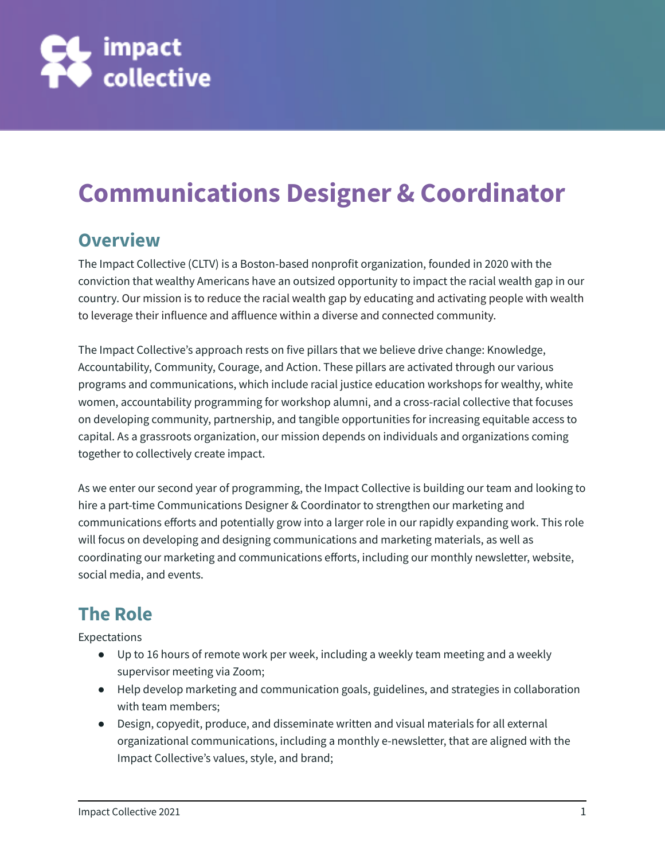

# **Communications Designer & Coordinator**

#### **Overview**

The Impact Collective (CLTV) is a Boston-based nonprofit organization, founded in 2020 with the conviction that wealthy Americans have an outsized opportunity to impact the racial wealth gap in our country. Our mission is to reduce the racial wealth gap by educating and activating people with wealth to leverage their influence and affluence within a diverse and connected community.

The Impact Collective's approach rests on five pillars that we believe drive change: Knowledge, Accountability, Community, Courage, and Action. These pillars are activated through our various programs and communications, which include racial justice education workshops for wealthy, white women, accountability programming for workshop alumni, and a cross-racial collective that focuses on developing community, partnership, and tangible opportunities for increasing equitable access to capital. As a grassroots organization, our mission depends on individuals and organizations coming together to collectively create impact.

As we enter our second year of programming, the Impact Collective is building our team and looking to hire a part-time Communications Designer & Coordinator to strengthen our marketing and communications efforts and potentially grow into a larger role in our rapidly expanding work. This role will focus on developing and designing communications and marketing materials, as well as coordinating our marketing and communications efforts, including our monthly newsletter, website, social media, and events.

### **The Role**

Expectations

- Up to 16 hours of remote work per week, including a weekly team meeting and a weekly supervisor meeting via Zoom;
- Help develop marketing and communication goals, guidelines, and strategies in collaboration with team members;
- Design, copyedit, produce, and disseminate written and visual materials for all external organizational communications, including a monthly e-newsletter, that are aligned with the Impact Collective's values, style, and brand;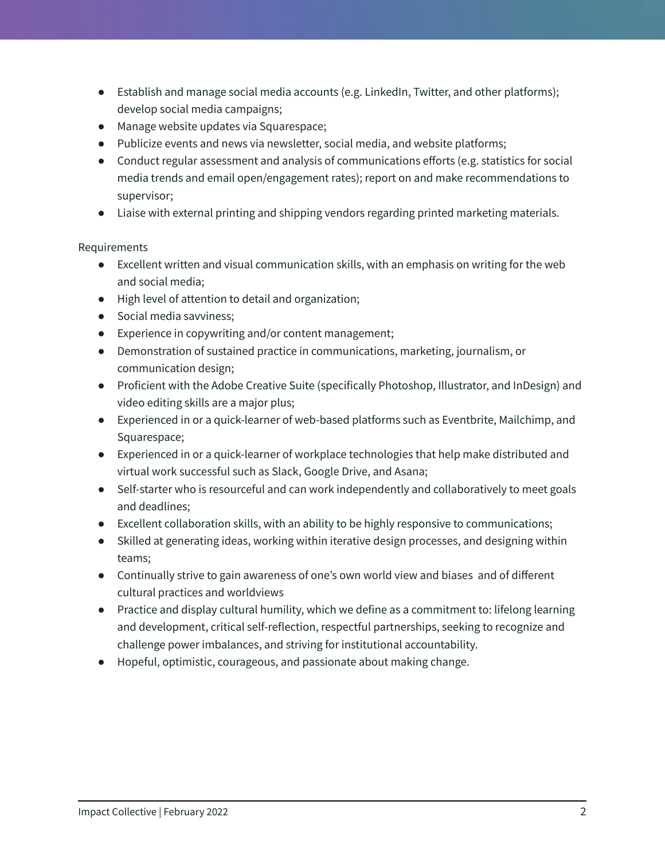- Establish and manage social media accounts (e.g. LinkedIn, Twitter, and other platforms); develop social media campaigns;
- Manage website updates via Squarespace;
- Publicize events and news via newsletter, social media, and website platforms;
- Conduct regular assessment and analysis of communications efforts (e.g. statistics for social media trends and email open/engagement rates); report on and make recommendations to supervisor;
- Liaise with external printing and shipping vendors regarding printed marketing materials.

#### Requirements

- Excellent written and visual communication skills, with an emphasis on writing for the web and social media;
- High level of attention to detail and organization;
- Social media savviness;
- Experience in copywriting and/or content management;
- Demonstration of sustained practice in communications, marketing, journalism, or communication design;
- Proficient with the Adobe Creative Suite (specifically Photoshop, Illustrator, and InDesign) and video editing skills are a major plus;
- Experienced in or a quick-learner of web-based platforms such as Eventbrite, Mailchimp, and Squarespace;
- Experienced in or a quick-learner of workplace technologies that help make distributed and virtual work successful such as Slack, Google Drive, and Asana;
- Self-starter who is resourceful and can work independently and collaboratively to meet goals and deadlines;
- Excellent collaboration skills, with an ability to be highly responsive to communications;
- Skilled at generating ideas, working within iterative design processes, and designing within teams;
- Continually strive to gain awareness of one's own world view and biases and of different cultural practices and worldviews
- Practice and display cultural humility, which we define as a commitment to: lifelong learning and development, critical self-reflection, respectful partnerships, seeking to recognize and challenge power imbalances, and striving for institutional accountability.
- Hopeful, optimistic, courageous, and passionate about making change.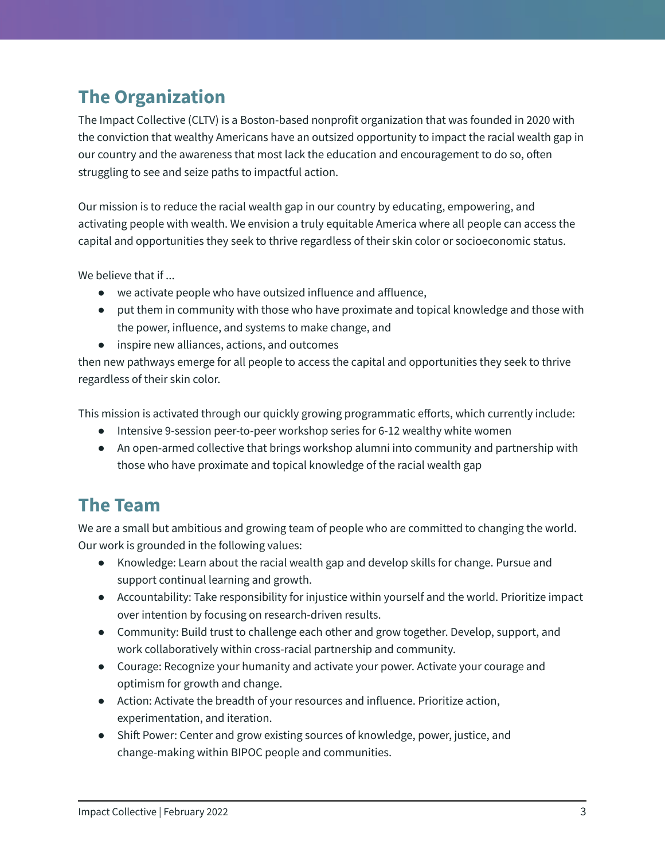#### **The Organization**

The Impact Collective (CLTV) is a Boston-based nonprofit organization that was founded in 2020 with the conviction that wealthy Americans have an outsized opportunity to impact the racial wealth gap in our country and the awareness that most lack the education and encouragement to do so, often struggling to see and seize paths to impactful action.

Our mission is to reduce the racial wealth gap in our country by educating, empowering, and activating people with wealth. We envision a truly equitable America where all people can access the capital and opportunities they seek to thrive regardless of their skin color or socioeconomic status.

We believe that if ...

- we activate people who have outsized influence and affluence,
- put them in community with those who have proximate and topical knowledge and those with the power, influence, and systems to make change, and
- inspire new alliances, actions, and outcomes

then new pathways emerge for all people to access the capital and opportunities they seek to thrive regardless of their skin color.

This mission is activated through our quickly growing programmatic efforts, which currently include:

- Intensive 9-session peer-to-peer workshop series for 6-12 wealthy white women
- An open-armed collective that brings workshop alumni into community and partnership with those who have proximate and topical knowledge of the racial wealth gap

#### **The Team**

We are a small but ambitious and growing team of people who are committed to changing the world. Our work is grounded in the following values:

- Knowledge: Learn about the racial wealth gap and develop skills for change. Pursue and support continual learning and growth.
- Accountability: Take responsibility for injustice within yourself and the world. Prioritize impact over intention by focusing on research-driven results.
- Community: Build trust to challenge each other and grow together. Develop, support, and work collaboratively within cross-racial partnership and community.
- Courage: Recognize your humanity and activate your power. Activate your courage and optimism for growth and change.
- Action: Activate the breadth of your resources and influence. Prioritize action, experimentation, and iteration.
- Shift Power: Center and grow existing sources of knowledge, power, justice, and change-making within BIPOC people and communities.